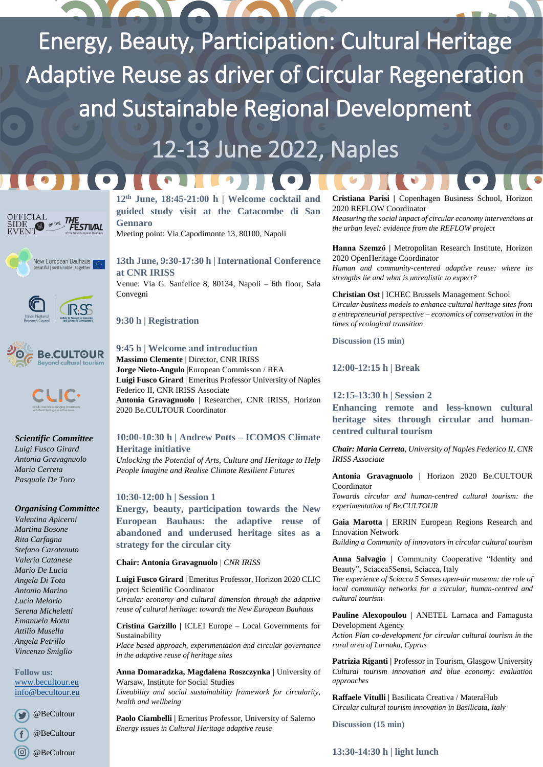Energy, Beauty, Participation: Cultural Heritage Adaptive Reuse as driver of Circular Regeneration and Sustainable Regional Development

# 12-13 June 2022, Naples











*Scientific Committee Luigi Fusco Girard Antonia Gravagnuolo Maria Cerreta Pasquale De Toro*

#### *Organising Committee*

*Valentina Apicerni Martina Bosone Rita Carfagna Stefano Carotenuto Valeria Catanese Mario De Lucia Angela Di Tota Antonio Marino Lucia Melorio Serena Micheletti Emanuela Motta Attilio Musella Angela Petrillo Vincenzo Smiglio*

**Follow us:** [www.becultour.eu](http://www.becultour.eu/) [info@becultour.eu](mailto:info@becultour.eu)

@BeCultour

@BeCultour

 $(\circledcirc)$ @BeCultour **12th June, 18:45-21:00 h | Welcome cocktail and guided study visit at the Catacombe di San Gennaro**

 $\mathbf{A}$ 

Meeting point: Via Capodimonte 13, 80100, Napoli

**13th June, 9:30-17:30 h | International Conference at CNR IRISS** Venue: Via G. Sanfelice 8, 80134, Napoli – 6th floor, Sala Convegni

**9:30 h | Registration** 

 $(\bullet)$ 

# **9:45 h | Welcome and introduction**

**Massimo Clemente** | Director, CNR IRISS **Jorge Nieto-Angulo** |European Commisson / REA **Luigi Fusco Girard** | Emeritus Professor University of Naples Federico II, CNR IRISS Associate **Antonia Gravagnuolo** | Researcher, CNR IRISS, Horizon 2020 Be.CULTOUR Coordinator

# **10:00-10:30 h | Andrew Potts – ICOMOS Climate Heritage initiative**

*Unlocking the Potential of Arts, Culture and Heritage to Help People Imagine and Realise Climate Resilient Futures*

# **10:30-12:00 h | Session 1**

**Energy, beauty, participation towards the New European Bauhaus: the adaptive reuse of abandoned and underused heritage sites as a strategy for the circular city**

#### **Chair: Antonia Gravagnuolo** | *CNR IRISS*

**Luigi Fusco Girard |** Emeritus Professor, Horizon 2020 CLIC project Scientific Coordinator *Circular economy and cultural dimension through the adaptive* 

*reuse of cultural heritage: towards the New European Bauhaus* 

**Cristina Garzillo |** ICLEI Europe – Local Governments for Sustainability

*Place based approach, experimentation and circular governance in the adaptive reuse of heritage sites*

Anna Domaradzka, Magdalena Roszczynka | University of Warsaw, Institute for Social Studies *Liveability and social sustainability framework for circularity, health and wellbeing*

Paolo Ciambelli | Emeritus Professor, University of Salerno *Energy issues in Cultural Heritage adaptive reuse*

**Cristiana Parisi |** Copenhagen Business School, Horizon 2020 REFLOW Coordinator

*Measuring the social impact of circular economy interventions at the urban level: evidence from the REFLOW project*

**Hanna Szemző |** Metropolitan Research Institute, Horizon 2020 OpenHeritage Coordinator

*Human and community-centered adaptive reuse: where its strengths lie and what is unrealistic to expect?*

**Christian Ost |** ICHEC Brussels Management School

*Circular business models to enhance cultural heritage sites from a entrepreneurial perspective – economics of conservation in the times of ecological transition*

**Discussion (15 min)**

**12:00-12:15 h | Break** 

**12:15-13:30 h | Session 2**

**Enhancing remote and less-known cultural heritage sites through circular and humancentred cultural tourism**

*Chair: Maria Cerreta, University of Naples Federico II, CNR IRISS Associate*

**Antonia Gravagnuolo |** Horizon 2020 Be.CULTOUR Coordinator

*Towards circular and human-centred cultural tourism: the experimentation of Be.CULTOUR*

**Gaia Marotta |** ERRIN European Regions Research and Innovation Network

*Building a Community of innovators in circular cultural tourism*

**Anna Salvagio |** Community Cooperative "Identity and Beauty", Sciacca5Sensi, Sciacca, Italy

*The experience of Sciacca 5 Senses open-air museum: the role of local community networks for a circular, human-centred and cultural tourism*

**Pauline Alexopoulou |** ANETEL Larnaca and Famagusta Development Agency

*Action Plan co-development for circular cultural tourism in the rural area of Larnaka, Cyprus*

Patrizia Riganti | Professor in Tourism, Glasgow University *Cultural tourism innovation and blue economy: evaluation approaches*

**Raffaele Vitulli |** Basilicata Creativa / MateraHub *Circular cultural tourism innovation in Basilicata, Italy*

**Discussion (15 min)**

**13:30-14:30 h | light lunch**